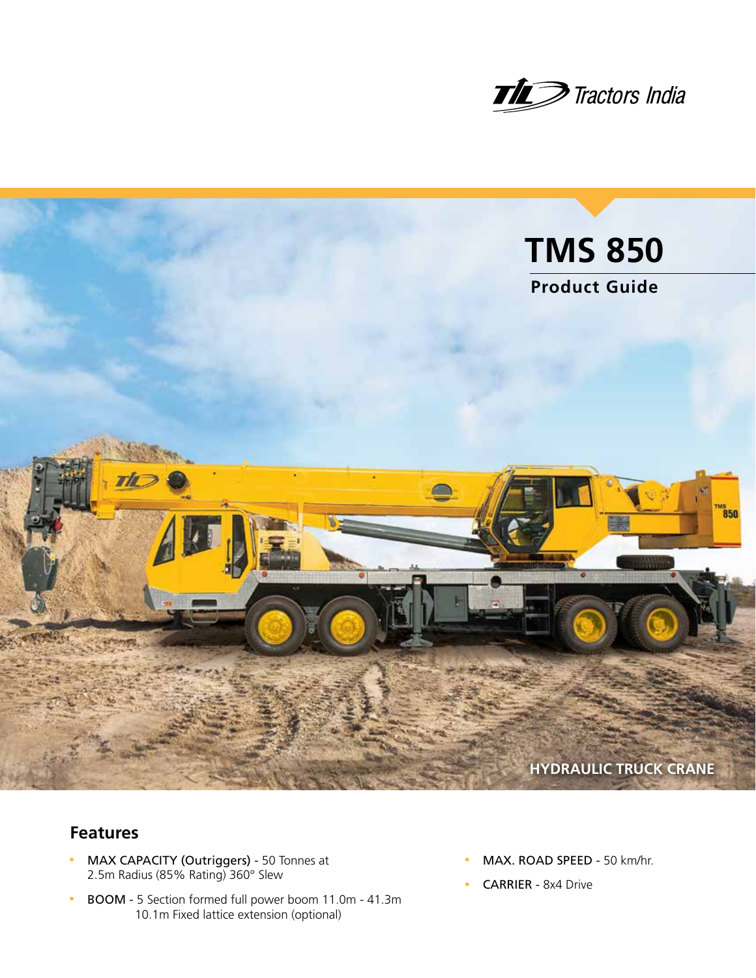



## **Features**

- MAX CAPACITY (Outriggers) 50 Tonnes at 2.5m Radius (85% Rating) 360° Slew
- BOOM 5 Section formed full power boom 11.0m 41.3m 10.1m Fixed lattice extension (optional)
- MAX. ROAD SPEED 50 km/hr.
- CARRIER 8x4 Drive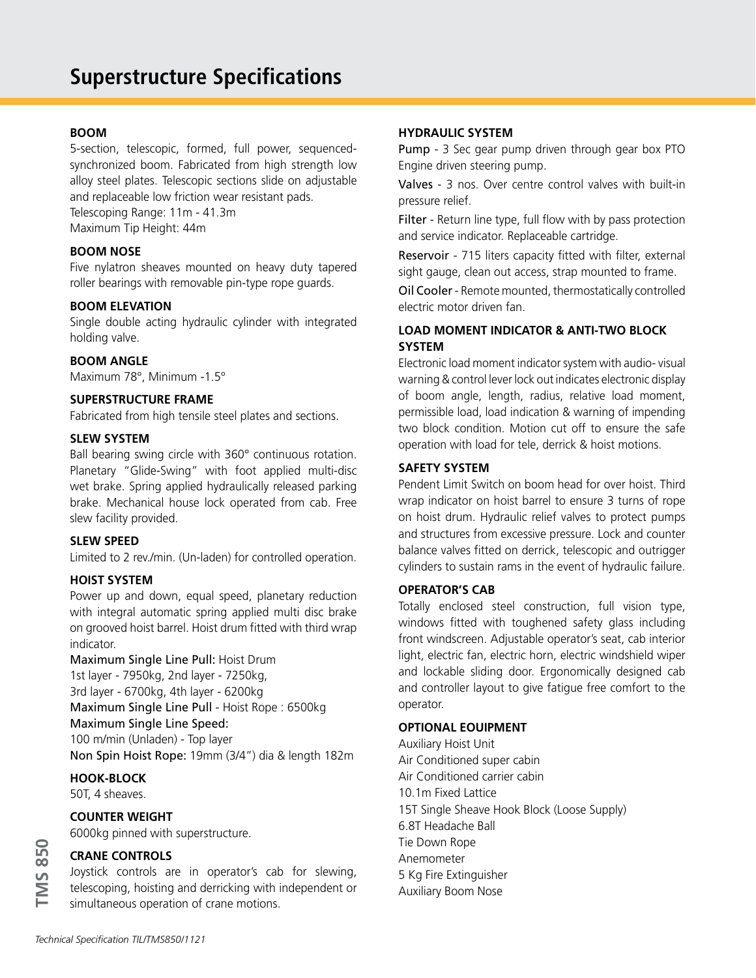#### **BOOM**

5-section, telescopic, formed, full power, sequencedsynchronized boom. Fabricated from high strength low alloy steel plates. Telescopic sections slide on adjustable and replaceable low friction wear resistant pads. Telescoping Range: 11m - 41.3m Maximum Tip Height: 44m

**BOOM NOSE**

Five nylatron sheaves mounted on heavy duty tapered roller bearings with removable pin-type rope guards.

#### **BOOM ELEVATION**

Single double acting hydraulic cylinder with integrated holding valve.

#### **BOOM ANGLE**

Maximum 78°, Minimum -1.5°

#### **SUPERSTRUCTURE FRAME**

Fabricated from high tensile steel plates and sections.

#### **SLEW SYSTEM**

Ball bearing swing circle with 360° continuous rotation. Planetary "Glide-Swing" with foot applied multi-disc wet brake. Spring applied hydraulically released parking brake. Mechanical house lock operated from cab. Free slew facility provided.

#### **SLEW SPEED**

Limited to 2 rev./min. (Un-laden) for controlled operation.

#### **HOIST SYSTEM**

Power up and down, equal speed, planetary reduction with integral automatic spring applied multi disc brake on grooved hoist barrel. Hoist drum fitted with third wrap indicator.

Maximum Single Line Pull: Hoist Drum 1st layer - 7950kg, 2nd layer - 7250kg, 3rd layer - 6700kg, 4th layer - 6200kg Maximum Single Line Pull - Hoist Rope : 6500kg Maximum Single Line Speed: 100 m/min (Unladen) - Top layer Non Spin Hoist Rope: 19mm (3/4") dia & length 182m

#### **HOOK-BLOCK**

50T, 4 sheaves.

**TMS 850**

**TMS 850** 

#### **COUNTER WEIGHT**

6000kg pinned with superstructure.

## **CRANE CONTROLS**

Joystick controls are in operator's cab for slewing, telescoping, hoisting and derricking with independent or simultaneous operation of crane motions.

#### **HYDRAULIC SYSTEM**

Pump - 3 Sec gear pump driven through gear box PTO Engine driven steering pump.

Valves - 3 nos. Over centre control valves with built-in pressure relief.

Filter - Return line type, full flow with by pass protection and service indicator. Replaceable cartridge.

Reservoir - 715 liters capacity fitted with filter, external sight gauge, clean out access, strap mounted to frame.

Oil Cooler - Remote mounted, thermostatically controlled electric motor driven fan.

### **LOAD MOMENT INDICATOR & ANTI-TWO BLOCK SYSTEM**

Electronic load moment indicator system with audio- visual warning & control lever lock out indicates electronic display of boom angle, length, radius, relative load moment, permissible load, load indication & warning of impending two block condition. Motion cut off to ensure the safe operation with load for tele, derrick & hoist motions.

#### **SAFETY SYSTEM**

Pendent Limit Switch on boom head for over hoist. Third wrap indicator on hoist barrel to ensure 3 turns of rope on hoist drum. Hydraulic relief valves to protect pumps and structures from excessive pressure. Lock and counter balance valves fitted on derrick, telescopic and outrigger cylinders to sustain rams in the event of hydraulic failure.

#### **OPERATOR'S CAB**

Totally enclosed steel construction, full vision type, windows fitted with toughened safety glass including front windscreen. Adjustable operator's seat, cab interior light, electric fan, electric horn, electric windshield wiper and lockable sliding door. Ergonomically designed cab and controller layout to give fatigue free comfort to the operator.

#### **OPTIONAL EOUIPMENT**

Auxiliary Hoist Unit Air Conditioned super cabin Air Conditioned carrier cabin 10.1m Fixed Lattice 15T Single Sheave Hook Block (Loose Supply) 6.8T Headache Ball Tie Down Rope Anemometer 5 Kg Fire Extinguisher Auxiliary Boom Nose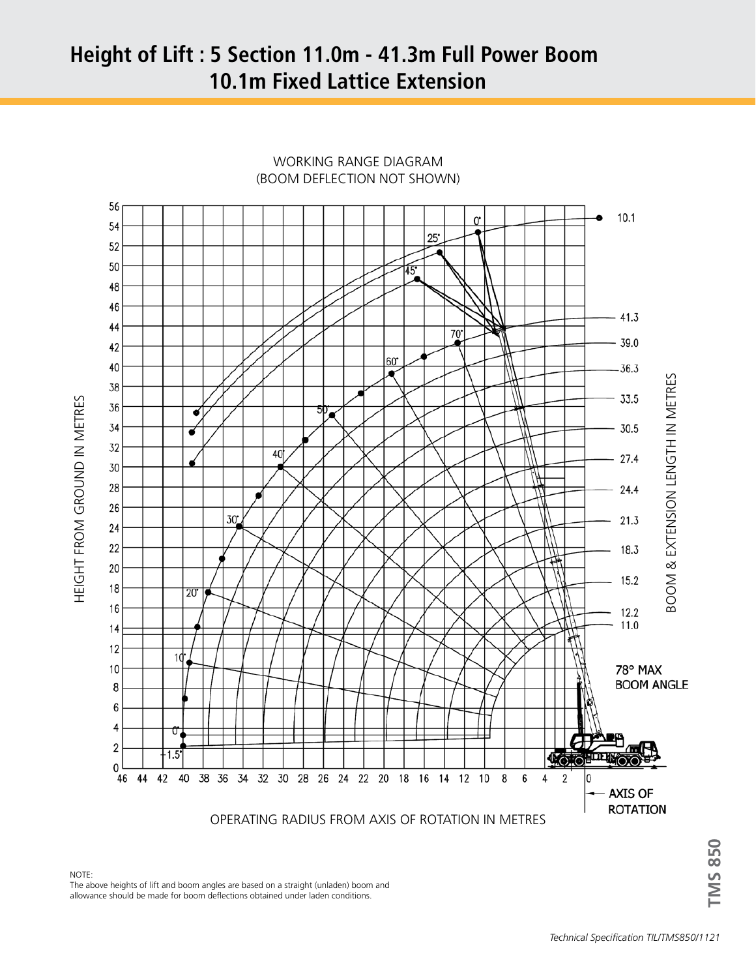# **Height of Lift : 5 Section 11.0m - 41.3m Full Power Boom 10.1m Fixed Lattice Extension**



WORKING RANGE DIAGRAM (BOOM DEFLECTION NOT SHOWN)

**TMS 850**

**IMS 850** 

NOTE: The above heights of lift and boom angles are based on a straight (unladen) boom and allowance should be made for boom deflections obtained under laden conditions.

HEIGHT FROM GROUND IN METRES

HEIGHT FROM GROUND IN METRES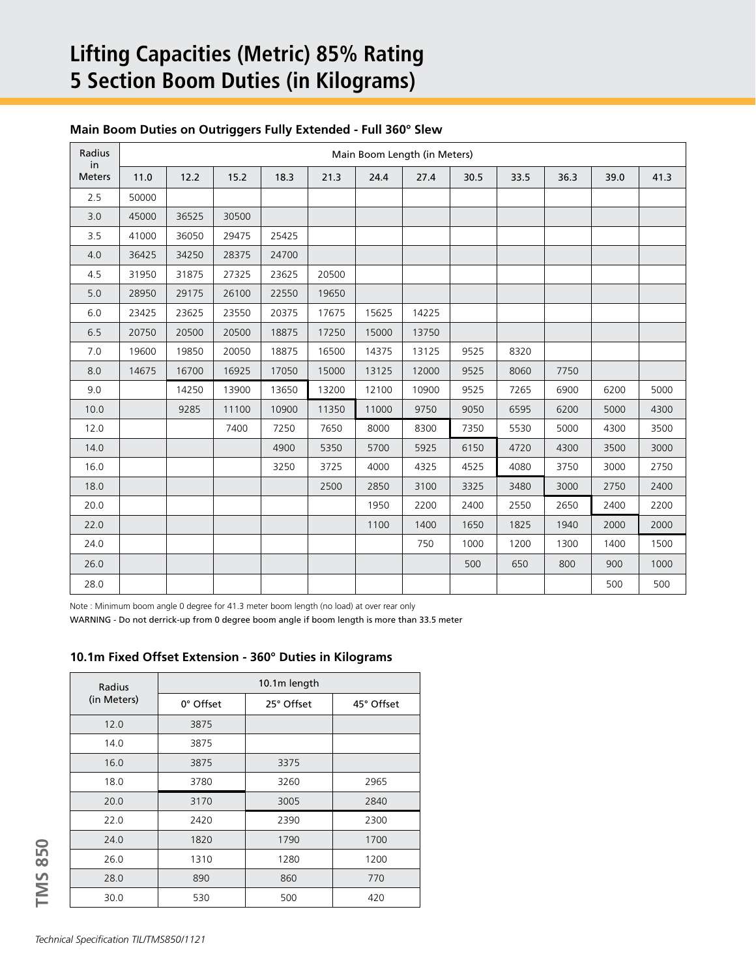# **Lifting Capacities (Metric) 85% Rating 5 Section Boom Duties (in Kilograms)**

### **Main Boom Duties on Outriggers Fully Extended - Full 360° Slew**

| Radius<br>in  | Main Boom Length (in Meters) |       |       |       |       |       |       |      |      |      |      |      |
|---------------|------------------------------|-------|-------|-------|-------|-------|-------|------|------|------|------|------|
| <b>Meters</b> | 11.0                         | 12.2  | 15.2  | 18.3  | 21.3  | 24.4  | 27.4  | 30.5 | 33.5 | 36.3 | 39.0 | 41.3 |
| 2.5           | 50000                        |       |       |       |       |       |       |      |      |      |      |      |
| 3.0           | 45000                        | 36525 | 30500 |       |       |       |       |      |      |      |      |      |
| 3.5           | 41000                        | 36050 | 29475 | 25425 |       |       |       |      |      |      |      |      |
| 4.0           | 36425                        | 34250 | 28375 | 24700 |       |       |       |      |      |      |      |      |
| 4.5           | 31950                        | 31875 | 27325 | 23625 | 20500 |       |       |      |      |      |      |      |
| 5.0           | 28950                        | 29175 | 26100 | 22550 | 19650 |       |       |      |      |      |      |      |
| $6.0$         | 23425                        | 23625 | 23550 | 20375 | 17675 | 15625 | 14225 |      |      |      |      |      |
| 6.5           | 20750                        | 20500 | 20500 | 18875 | 17250 | 15000 | 13750 |      |      |      |      |      |
| 7.0           | 19600                        | 19850 | 20050 | 18875 | 16500 | 14375 | 13125 | 9525 | 8320 |      |      |      |
| 8.0           | 14675                        | 16700 | 16925 | 17050 | 15000 | 13125 | 12000 | 9525 | 8060 | 7750 |      |      |
| 9.0           |                              | 14250 | 13900 | 13650 | 13200 | 12100 | 10900 | 9525 | 7265 | 6900 | 6200 | 5000 |
| 10.0          |                              | 9285  | 11100 | 10900 | 11350 | 11000 | 9750  | 9050 | 6595 | 6200 | 5000 | 4300 |
| 12.0          |                              |       | 7400  | 7250  | 7650  | 8000  | 8300  | 7350 | 5530 | 5000 | 4300 | 3500 |
| 14.0          |                              |       |       | 4900  | 5350  | 5700  | 5925  | 6150 | 4720 | 4300 | 3500 | 3000 |
| 16.0          |                              |       |       | 3250  | 3725  | 4000  | 4325  | 4525 | 4080 | 3750 | 3000 | 2750 |
| 18.0          |                              |       |       |       | 2500  | 2850  | 3100  | 3325 | 3480 | 3000 | 2750 | 2400 |
| 20.0          |                              |       |       |       |       | 1950  | 2200  | 2400 | 2550 | 2650 | 2400 | 2200 |
| 22.0          |                              |       |       |       |       | 1100  | 1400  | 1650 | 1825 | 1940 | 2000 | 2000 |
| 24.0          |                              |       |       |       |       |       | 750   | 1000 | 1200 | 1300 | 1400 | 1500 |
| 26.0          |                              |       |       |       |       |       |       | 500  | 650  | 800  | 900  | 1000 |
| 28.0          |                              |       |       |       |       |       |       |      |      |      | 500  | 500  |

Note : Minimum boom angle 0 degree for 41.3 meter boom length (no load) at over rear only

WARNING - Do not derrick-up from 0 degree boom angle if boom length is more than 33.5 meter

#### **10.1m Fixed Offset Extension - 360° Duties in Kilograms**

| Radius      | 10.1m length |            |            |  |  |  |  |
|-------------|--------------|------------|------------|--|--|--|--|
| (in Meters) | 0° Offset    | 25° Offset | 45° Offset |  |  |  |  |
| 12.0        | 3875         |            |            |  |  |  |  |
| 14.0        | 3875         |            |            |  |  |  |  |
| 16.0        | 3875         | 3375       |            |  |  |  |  |
| 18.0        | 3780         | 3260       | 2965       |  |  |  |  |
| 20.0        | 3170         | 3005       | 2840       |  |  |  |  |
| 22.0        | 2420         | 2390       | 2300       |  |  |  |  |
| 24.0        | 1820         | 1790       | 1700       |  |  |  |  |
| 26.0        | 1310         | 1280       | 1200       |  |  |  |  |
| 28.0        | 890          | 860        | 770        |  |  |  |  |
| 30.0        | 530          | 500        | 420        |  |  |  |  |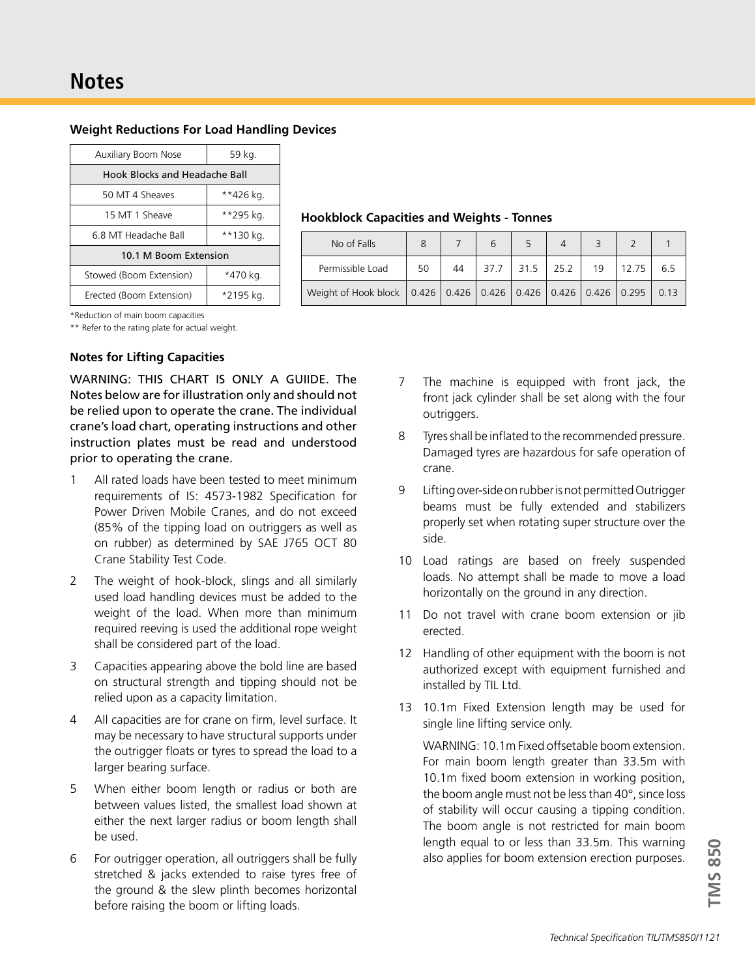| <b>Weight Reductions For Load Handling Devices</b> |  |  |  |
|----------------------------------------------------|--|--|--|
|----------------------------------------------------|--|--|--|

| Auxiliary Boom Nose           | 59 kg.    |  |  |  |  |  |
|-------------------------------|-----------|--|--|--|--|--|
| Hook Blocks and Headache Ball |           |  |  |  |  |  |
| 50 MT 4 Sheaves               | **426 kg. |  |  |  |  |  |
| 15 MT 1 Sheave                | **295 kg. |  |  |  |  |  |
| 6.8 MT Headache Ball          | **130 kg. |  |  |  |  |  |
| 10.1 M Boom Extension         |           |  |  |  |  |  |
| Stowed (Boom Extension)       | *470 kg.  |  |  |  |  |  |
| Erected (Boom Extension)      | *2195 kg. |  |  |  |  |  |

#### **Hookblock Capacities and Weights - Tonnes**

| No of Falls                                                                  |    |    |      |               |    |       |      |
|------------------------------------------------------------------------------|----|----|------|---------------|----|-------|------|
| Permissible Load                                                             | 50 | 44 | 37.7 | $31.5$   25.2 | 19 | 12.75 | 6.5  |
| Weight of Hook block   0.426   0.426   0.426   0.426   0.426   0.426   0.295 |    |    |      |               |    |       | 0.13 |

\*Reduction of main boom capacities

\*\* Refer to the rating plate for actual weight.

#### **Notes for Lifting Capacities**

WARNING: THIS CHART IS ONLY A GUIIDE. The Notes below are for illustration only and should not be relied upon to operate the crane. The individual crane's load chart, operating instructions and other instruction plates must be read and understood prior to operating the crane.

- 1 All rated loads have been tested to meet minimum requirements of IS: 4573-1982 Specification for Power Driven Mobile Cranes, and do not exceed (85% of the tipping load on outriggers as well as on rubber) as determined by SAE J765 OCT 80 Crane Stability Test Code.
- 2 The weight of hook-block, slings and all similarly used load handling devices must be added to the weight of the load. When more than minimum required reeving is used the additional rope weight shall be considered part of the load.
- 3 Capacities appearing above the bold line are based on structural strength and tipping should not be relied upon as a capacity limitation.
- 4 All capacities are for crane on firm, level surface. It may be necessary to have structural supports under the outrigger floats or tyres to spread the load to a larger bearing surface.
- 5 When either boom length or radius or both are between values listed, the smallest load shown at either the next larger radius or boom length shall be used.
- 6 For outrigger operation, all outriggers shall be fully stretched & jacks extended to raise tyres free of the ground & the slew plinth becomes horizontal before raising the boom or lifting loads.
- 7 The machine is equipped with front jack, the front jack cylinder shall be set along with the four outriggers.
- 8 Tyres shall be inflated to the recommended pressure. Damaged tyres are hazardous for safe operation of crane.
- 9 Lifting over-side on rubber is not permitted Outrigger beams must be fully extended and stabilizers properly set when rotating super structure over the side.
- 10 Load ratings are based on freely suspended loads. No attempt shall be made to move a load horizontally on the ground in any direction.
- 11 Do not travel with crane boom extension or jib erected.
- 12 Handling of other equipment with the boom is not authorized except with equipment furnished and installed by TIL Ltd.
- 13 10.1m Fixed Extension length may be used for single line lifting service only.

WARNING: 10.1m Fixed offsetable boom extension. For main boom length greater than 33.5m with 10.1m fixed boom extension in working position, the boom angle must not be less than 40°, since loss of stability will occur causing a tipping condition. The boom angle is not restricted for main boom length equal to or less than 33.5m. This warning also applies for boom extension erection purposes.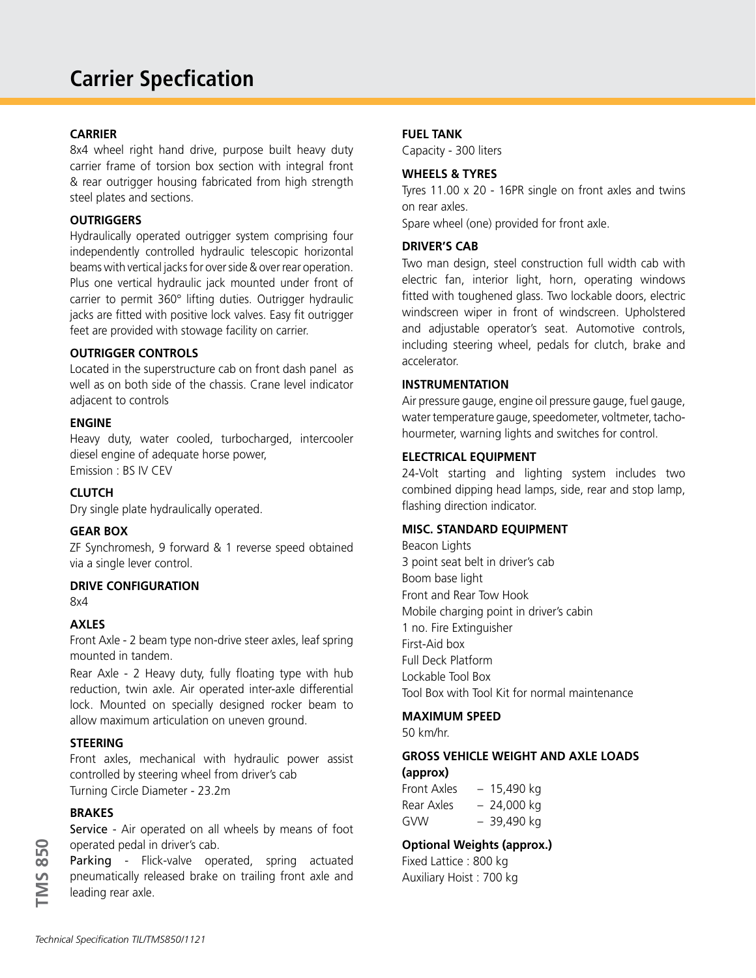## **CARRIER**

8x4 wheel right hand drive, purpose built heavy duty carrier frame of torsion box section with integral front & rear outrigger housing fabricated from high strength steel plates and sections.

### **OUTRIGGERS**

Hydraulically operated outrigger system comprising four independently controlled hydraulic telescopic horizontal beams with vertical jacks for over side & over rear operation. Plus one vertical hydraulic jack mounted under front of carrier to permit 360° lifting duties. Outrigger hydraulic jacks are fitted with positive lock valves. Easy fit outrigger feet are provided with stowage facility on carrier.

### **OUTRIGGER CONTROLS**

Located in the superstructure cab on front dash panel as well as on both side of the chassis. Crane level indicator adjacent to controls

#### **ENGINE**

Heavy duty, water cooled, turbocharged, intercooler diesel engine of adequate horse power, Emission : BS IV CEV

### **CLUTCH**

Dry single plate hydraulically operated.

### **GEAR BOX**

ZF Synchromesh, 9 forward & 1 reverse speed obtained via a single lever control.

### **DRIVE CONFIGURATION**

8x4

### **AXLES**

Front Axle - 2 beam type non-drive steer axles, leaf spring mounted in tandem.

Rear Axle - 2 Heavy duty, fully floating type with hub reduction, twin axle. Air operated inter-axle differential lock. Mounted on specially designed rocker beam to allow maximum articulation on uneven ground.

### **STEERING**

Front axles, mechanical with hydraulic power assist controlled by steering wheel from driver's cab Turning Circle Diameter - 23.2m

#### **BRAKES**

**TMS 850**

**TMS 850** 

Service - Air operated on all wheels by means of foot operated pedal in driver's cab.

Parking - Flick-valve operated, spring actuated pneumatically released brake on trailing front axle and leading rear axle.

#### **FUEL TANK**

Capacity - 300 liters

#### **WHEELS & TYRES**

Tyres 11.00 x 20 - 16PR single on front axles and twins on rear axles.

Spare wheel (one) provided for front axle.

#### **DRIVER'S CAB**

Two man design, steel construction full width cab with electric fan, interior light, horn, operating windows fitted with toughened glass. Two lockable doors, electric windscreen wiper in front of windscreen. Upholstered and adjustable operator's seat. Automotive controls, including steering wheel, pedals for clutch, brake and accelerator.

#### **INSTRUMENTATION**

Air pressure gauge, engine oil pressure gauge, fuel gauge, water temperature gauge, speedometer, voltmeter, tachohourmeter, warning lights and switches for control.

#### **ELECTRICAL EQUIPMENT**

24-Volt starting and lighting system includes two combined dipping head lamps, side, rear and stop lamp, flashing direction indicator.

#### **MISC. STANDARD EQUIPMENT**

Beacon Lights 3 point seat belt in driver's cab Boom base light Front and Rear Tow Hook Mobile charging point in driver's cabin 1 no. Fire Extinguisher First-Aid box Full Deck Platform Lockable Tool Box Tool Box with Tool Kit for normal maintenance

#### **MAXIMUM SPEED**

50 km/hr.

#### **GROSS VEHICLE WEIGHT AND AXLE LOADS (approx)**

Front Axles – 15,490 kg Rear Axles  $-24,000$  kg GVW – 39,490 kg

## **Optional Weights (approx.)**

Fixed Lattice : 800 kg Auxiliary Hoist : 700 kg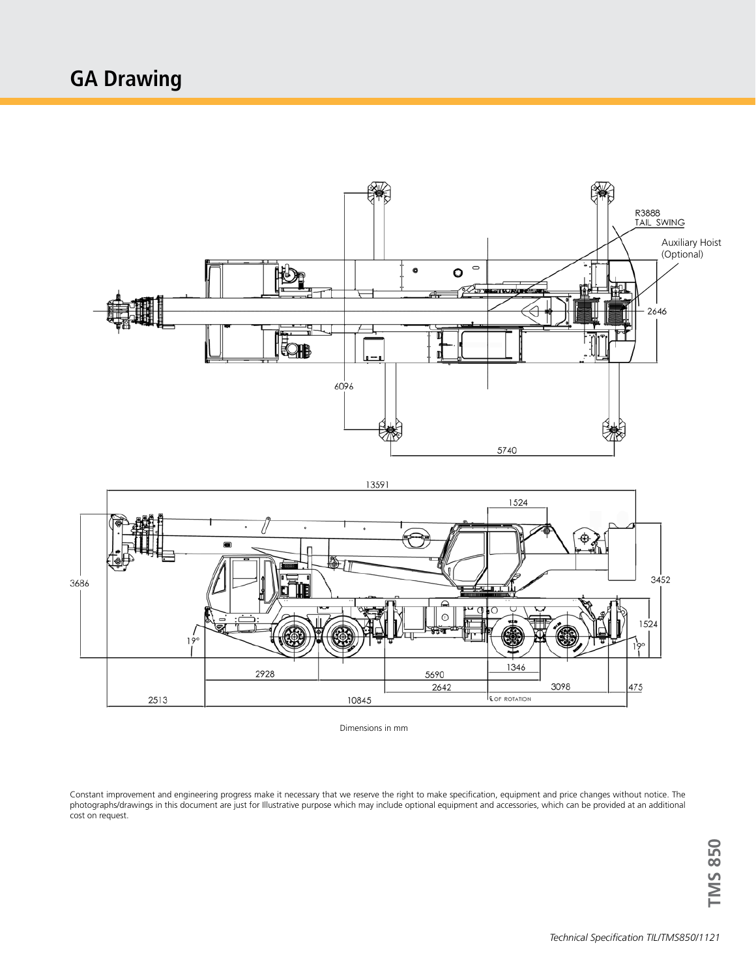



Dimensions in mm

Constant improvement and engineering progress make it necessary that we reserve the right to make specification, equipment and price changes without notice. The photographs/drawings in this document are just for Illustrative purpose which may include optional equipment and accessories, which can be provided at an additional cost on request.